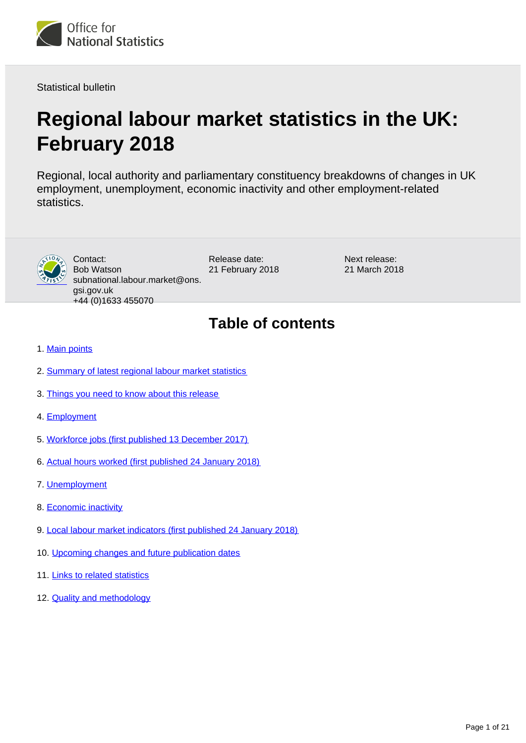

Statistical bulletin

# **Regional labour market statistics in the UK: February 2018**

Regional, local authority and parliamentary constituency breakdowns of changes in UK employment, unemployment, economic inactivity and other employment-related statistics.



Contact: Bob Watson subnational.labour.market@ons. gsi.gov.uk +44 (0)1633 455070

Release date: 21 February 2018 Next release: 21 March 2018

## **Table of contents**

- 1. [Main points](#page-1-0)
- 2. [Summary of latest regional labour market statistics](#page-1-1)
- 3. [Things you need to know about this release](#page-2-0)
- 4. [Employment](#page-4-0)
- 5. [Workforce jobs \(first published 13 December 2017\)](#page-7-0)
- 6. [Actual hours worked \(first published 24 January 2018\)](#page-10-0)
- 7. [Unemployment](#page-12-0)
- 8. [Economic inactivity](#page-15-0)
- 9. [Local labour market indicators \(first published 24 January 2018\)](#page-17-0)
- 10. [Upcoming changes and future publication dates](#page-17-1)
- 11. [Links to related statistics](#page-18-0)
- 12. **[Quality and methodology](#page-18-1)**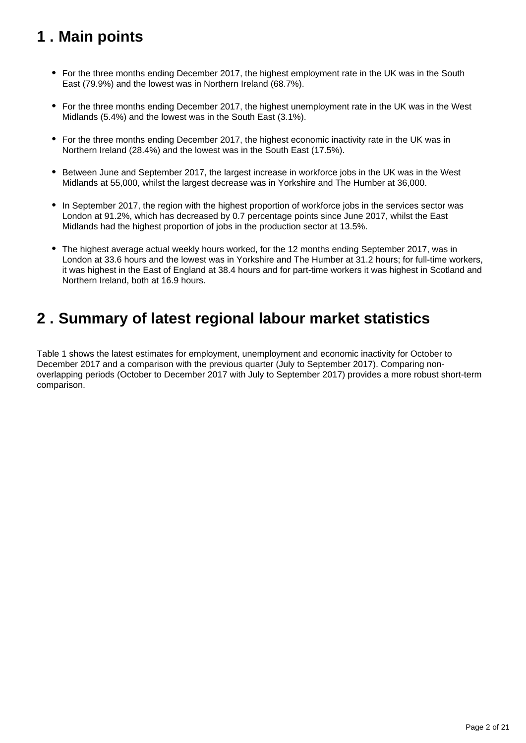## <span id="page-1-0"></span>**1 . Main points**

- For the three months ending December 2017, the highest employment rate in the UK was in the South East (79.9%) and the lowest was in Northern Ireland (68.7%).
- For the three months ending December 2017, the highest unemployment rate in the UK was in the West Midlands (5.4%) and the lowest was in the South East (3.1%).
- For the three months ending December 2017, the highest economic inactivity rate in the UK was in Northern Ireland (28.4%) and the lowest was in the South East (17.5%).
- Between June and September 2017, the largest increase in workforce jobs in the UK was in the West Midlands at 55,000, whilst the largest decrease was in Yorkshire and The Humber at 36,000.
- In September 2017, the region with the highest proportion of workforce jobs in the services sector was London at 91.2%, which has decreased by 0.7 percentage points since June 2017, whilst the East Midlands had the highest proportion of jobs in the production sector at 13.5%.
- The highest average actual weekly hours worked, for the 12 months ending September 2017, was in London at 33.6 hours and the lowest was in Yorkshire and The Humber at 31.2 hours; for full-time workers, it was highest in the East of England at 38.4 hours and for part-time workers it was highest in Scotland and Northern Ireland, both at 16.9 hours.

### <span id="page-1-1"></span>**2 . Summary of latest regional labour market statistics**

Table 1 shows the latest estimates for employment, unemployment and economic inactivity for October to December 2017 and a comparison with the previous quarter (July to September 2017). Comparing nonoverlapping periods (October to December 2017 with July to September 2017) provides a more robust short-term comparison.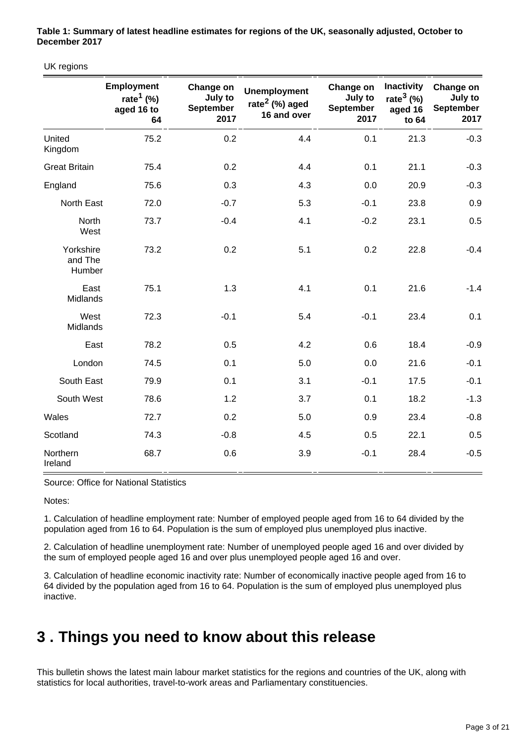**Table 1: Summary of latest headline estimates for regions of the UK, seasonally adjusted, October to December 2017**

UK regions

|                                | <b>Employment</b><br>rate <sup>1</sup> (%)<br>aged 16 to<br>64 | Change on<br>July to<br>September<br>2017 | <b>Unemployment</b><br>rate $2$ (%) aged<br>16 and over | Change on<br>July to<br>September<br>2017 | <b>Inactivity</b><br>rate $3$ (%)<br>aged 16<br>to 64 | Change on<br>July to<br><b>September</b><br>2017 |
|--------------------------------|----------------------------------------------------------------|-------------------------------------------|---------------------------------------------------------|-------------------------------------------|-------------------------------------------------------|--------------------------------------------------|
| United<br>Kingdom              | 75.2                                                           | 0.2                                       | 4.4                                                     | 0.1                                       | 21.3                                                  | $-0.3$                                           |
| <b>Great Britain</b>           | 75.4                                                           | 0.2                                       | 4.4                                                     | 0.1                                       | 21.1                                                  | $-0.3$                                           |
| England                        | 75.6                                                           | 0.3                                       | 4.3                                                     | 0.0                                       | 20.9                                                  | $-0.3$                                           |
| North East                     | 72.0                                                           | $-0.7$                                    | 5.3                                                     | $-0.1$                                    | 23.8                                                  | 0.9                                              |
| North<br>West                  | 73.7                                                           | $-0.4$                                    | 4.1                                                     | $-0.2$                                    | 23.1                                                  | 0.5                                              |
| Yorkshire<br>and The<br>Humber | 73.2                                                           | 0.2                                       | 5.1                                                     | 0.2                                       | 22.8                                                  | $-0.4$                                           |
| East<br>Midlands               | 75.1                                                           | 1.3                                       | 4.1                                                     | 0.1                                       | 21.6                                                  | $-1.4$                                           |
| West<br>Midlands               | 72.3                                                           | $-0.1$                                    | 5.4                                                     | $-0.1$                                    | 23.4                                                  | 0.1                                              |
| East                           | 78.2                                                           | 0.5                                       | 4.2                                                     | 0.6                                       | 18.4                                                  | $-0.9$                                           |
| London                         | 74.5                                                           | 0.1                                       | 5.0                                                     | 0.0                                       | 21.6                                                  | $-0.1$                                           |
| South East                     | 79.9                                                           | 0.1                                       | 3.1                                                     | $-0.1$                                    | 17.5                                                  | $-0.1$                                           |
| South West                     | 78.6                                                           | 1.2                                       | 3.7                                                     | 0.1                                       | 18.2                                                  | $-1.3$                                           |
| Wales                          | 72.7                                                           | 0.2                                       | 5.0                                                     | 0.9                                       | 23.4                                                  | $-0.8$                                           |
| Scotland                       | 74.3                                                           | $-0.8$                                    | 4.5                                                     | 0.5                                       | 22.1                                                  | 0.5                                              |
| Northern<br>Ireland            | 68.7                                                           | 0.6                                       | 3.9                                                     | $-0.1$                                    | 28.4                                                  | $-0.5$                                           |

#### Source: Office for National Statistics

Notes:

1. Calculation of headline employment rate: Number of employed people aged from 16 to 64 divided by the population aged from 16 to 64. Population is the sum of employed plus unemployed plus inactive.

2. Calculation of headline unemployment rate: Number of unemployed people aged 16 and over divided by the sum of employed people aged 16 and over plus unemployed people aged 16 and over.

3. Calculation of headline economic inactivity rate: Number of economically inactive people aged from 16 to 64 divided by the population aged from 16 to 64. Population is the sum of employed plus unemployed plus inactive.

### <span id="page-2-0"></span>**3 . Things you need to know about this release**

This bulletin shows the latest main labour market statistics for the regions and countries of the UK, along with statistics for local authorities, travel-to-work areas and Parliamentary constituencies.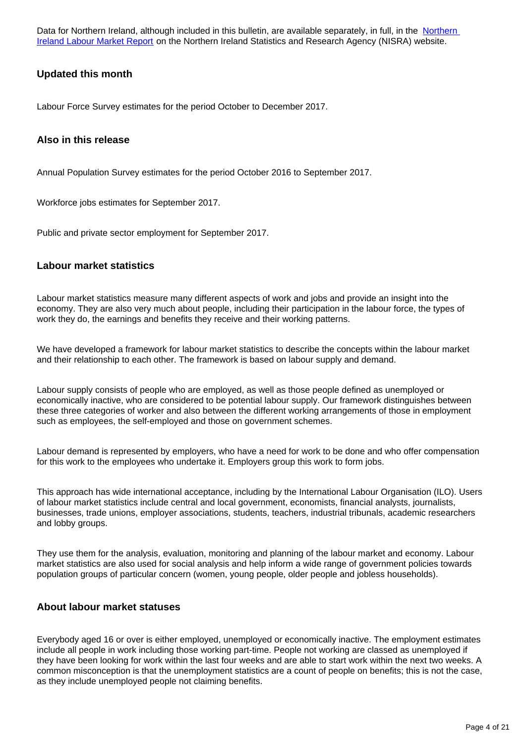Data for [Northern](https://www.nisra.gov.uk/statistics/labour-market-and-social-welfare/labour-force-survey) Ireland, although included in this bulletin, are available separately, in full, in the Northern [Ireland Labour Market Report](https://www.nisra.gov.uk/statistics/labour-market-and-social-welfare/labour-force-survey) on the Northern Ireland Statistics and Research Agency (NISRA) website.

#### **Updated this month**

Labour Force Survey estimates for the period October to December 2017.

#### **Also in this release**

Annual Population Survey estimates for the period October 2016 to September 2017.

Workforce jobs estimates for September 2017.

Public and private sector employment for September 2017.

#### **Labour market statistics**

Labour market statistics measure many different aspects of work and jobs and provide an insight into the economy. They are also very much about people, including their participation in the labour force, the types of work they do, the earnings and benefits they receive and their working patterns.

We have developed a framework for labour market statistics to describe the concepts within the labour market and their relationship to each other. The framework is based on labour supply and demand.

Labour supply consists of people who are employed, as well as those people defined as unemployed or economically inactive, who are considered to be potential labour supply. Our framework distinguishes between these three categories of worker and also between the different working arrangements of those in employment such as employees, the self-employed and those on government schemes.

Labour demand is represented by employers, who have a need for work to be done and who offer compensation for this work to the employees who undertake it. Employers group this work to form jobs.

This approach has wide international acceptance, including by the International Labour Organisation (ILO). Users of labour market statistics include central and local government, economists, financial analysts, journalists, businesses, trade unions, employer associations, students, teachers, industrial tribunals, academic researchers and lobby groups.

They use them for the analysis, evaluation, monitoring and planning of the labour market and economy. Labour market statistics are also used for social analysis and help inform a wide range of government policies towards population groups of particular concern (women, young people, older people and jobless households).

#### **About labour market statuses**

Everybody aged 16 or over is either employed, unemployed or economically inactive. The employment estimates include all people in work including those working part-time. People not working are classed as unemployed if they have been looking for work within the last four weeks and are able to start work within the next two weeks. A common misconception is that the unemployment statistics are a count of people on benefits; this is not the case, as they include unemployed people not claiming benefits.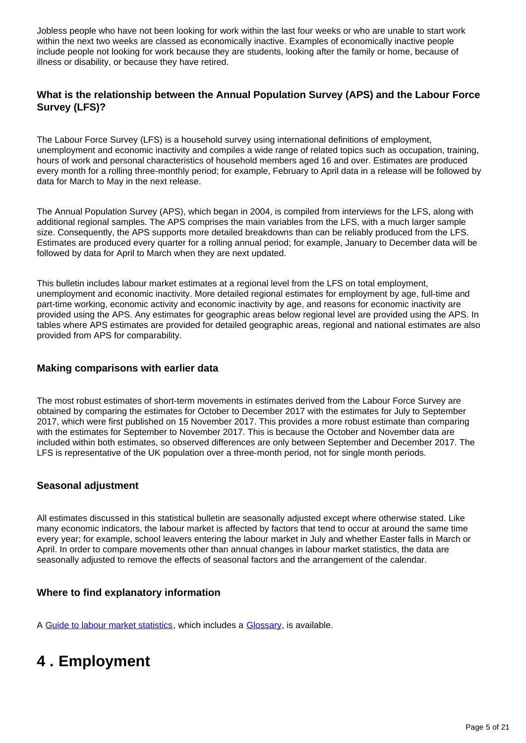Jobless people who have not been looking for work within the last four weeks or who are unable to start work within the next two weeks are classed as economically inactive. Examples of economically inactive people include people not looking for work because they are students, looking after the family or home, because of illness or disability, or because they have retired.

#### **What is the relationship between the Annual Population Survey (APS) and the Labour Force Survey (LFS)?**

The Labour Force Survey (LFS) is a household survey using international definitions of employment, unemployment and economic inactivity and compiles a wide range of related topics such as occupation, training, hours of work and personal characteristics of household members aged 16 and over. Estimates are produced every month for a rolling three-monthly period; for example, February to April data in a release will be followed by data for March to May in the next release.

The Annual Population Survey (APS), which began in 2004, is compiled from interviews for the LFS, along with additional regional samples. The APS comprises the main variables from the LFS, with a much larger sample size. Consequently, the APS supports more detailed breakdowns than can be reliably produced from the LFS. Estimates are produced every quarter for a rolling annual period; for example, January to December data will be followed by data for April to March when they are next updated.

This bulletin includes labour market estimates at a regional level from the LFS on total employment, unemployment and economic inactivity. More detailed regional estimates for employment by age, full-time and part-time working, economic activity and economic inactivity by age, and reasons for economic inactivity are provided using the APS. Any estimates for geographic areas below regional level are provided using the APS. In tables where APS estimates are provided for detailed geographic areas, regional and national estimates are also provided from APS for comparability.

#### **Making comparisons with earlier data**

The most robust estimates of short-term movements in estimates derived from the Labour Force Survey are obtained by comparing the estimates for October to December 2017 with the estimates for July to September 2017, which were first published on 15 November 2017. This provides a more robust estimate than comparing with the estimates for September to November 2017. This is because the October and November data are included within both estimates, so observed differences are only between September and December 2017. The LFS is representative of the UK population over a three-month period, not for single month periods.

#### **Seasonal adjustment**

All estimates discussed in this statistical bulletin are seasonally adjusted except where otherwise stated. Like many economic indicators, the labour market is affected by factors that tend to occur at around the same time every year; for example, school leavers entering the labour market in July and whether Easter falls in March or April. In order to compare movements other than annual changes in labour market statistics, the data are seasonally adjusted to remove the effects of seasonal factors and the arrangement of the calendar.

#### **Where to find explanatory information**

A [Guide to labour market statistics](https://www.ons.gov.uk/employmentandlabourmarket/peopleinwork/employmentandemployeetypes/methodologies/aguidetolabourmarketstatistics#abstract), which includes a [Glossary,](https://www.ons.gov.uk/employmentandlabourmarket/peopleinwork/employmentandemployeetypes/methodologies/aguidetolabourmarketstatistics#glossary) is available.

### <span id="page-4-0"></span>**4 . Employment**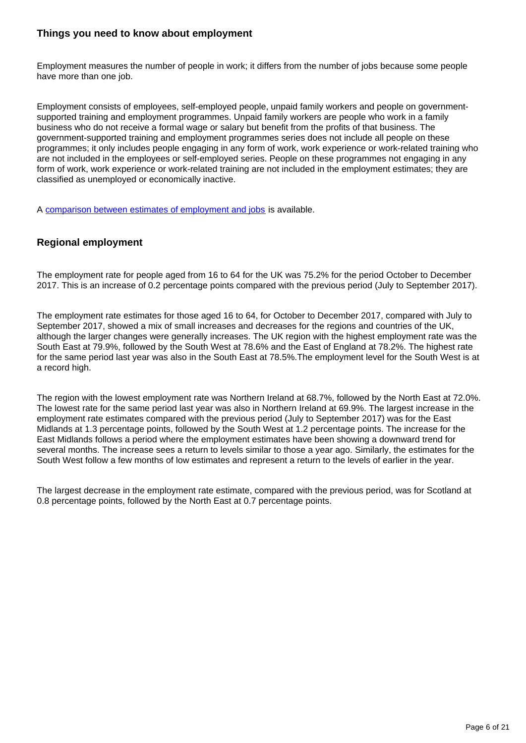#### **Things you need to know about employment**

Employment measures the number of people in work; it differs from the number of jobs because some people have more than one job.

Employment consists of employees, self-employed people, unpaid family workers and people on governmentsupported training and employment programmes. Unpaid family workers are people who work in a family business who do not receive a formal wage or salary but benefit from the profits of that business. The government-supported training and employment programmes series does not include all people on these programmes; it only includes people engaging in any form of work, work experience or work-related training who are not included in the employees or self-employed series. People on these programmes not engaging in any form of work, work experience or work-related training are not included in the employment estimates; they are classified as unemployed or economically inactive.

A [comparison between estimates of employment and jobs](http://www.ons.gov.uk/employmentandlabourmarket/peopleinwork/employmentandemployeetypes/articles/reconciliationofestimatesofjobs/latest) is available.

#### **Regional employment**

The employment rate for people aged from 16 to 64 for the UK was 75.2% for the period October to December 2017. This is an increase of 0.2 percentage points compared with the previous period (July to September 2017).

The employment rate estimates for those aged 16 to 64, for October to December 2017, compared with July to September 2017, showed a mix of small increases and decreases for the regions and countries of the UK, although the larger changes were generally increases. The UK region with the highest employment rate was the South East at 79.9%, followed by the South West at 78.6% and the East of England at 78.2%. The highest rate for the same period last year was also in the South East at 78.5%.The employment level for the South West is at a record high.

The region with the lowest employment rate was Northern Ireland at 68.7%, followed by the North East at 72.0%. The lowest rate for the same period last year was also in Northern Ireland at 69.9%. The largest increase in the employment rate estimates compared with the previous period (July to September 2017) was for the East Midlands at 1.3 percentage points, followed by the South West at 1.2 percentage points. The increase for the East Midlands follows a period where the employment estimates have been showing a downward trend for several months. The increase sees a return to levels similar to those a year ago. Similarly, the estimates for the South West follow a few months of low estimates and represent a return to the levels of earlier in the year.

The largest decrease in the employment rate estimate, compared with the previous period, was for Scotland at 0.8 percentage points, followed by the North East at 0.7 percentage points.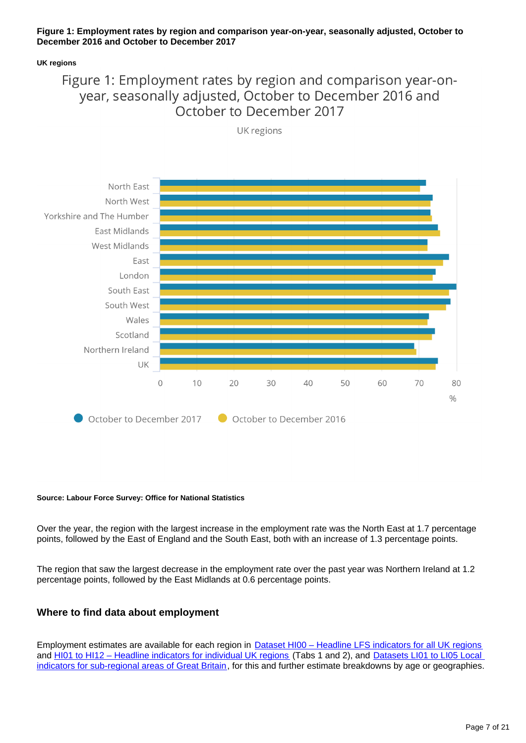#### **Figure 1: Employment rates by region and comparison year-on-year, seasonally adjusted, October to December 2016 and October to December 2017**

#### **UK regions**

### Figure 1: Employment rates by region and comparison year-onyear, seasonally adjusted, October to December 2016 and October to December 2017



UK regions

#### **Source: Labour Force Survey: Office for National Statistics**

Over the year, the region with the largest increase in the employment rate was the North East at 1.7 percentage points, followed by the East of England and the South East, both with an increase of 1.3 percentage points.

The region that saw the largest decrease in the employment rate over the past year was Northern Ireland at 1.2 percentage points, followed by the East Midlands at 0.6 percentage points.

#### **Where to find data about employment**

Employment estimates are available for each region in [Dataset HI00 – Headline LFS indicators for all UK regions](https://www.ons.gov.uk/employmentandlabourmarket/peopleinwork/employmentandemployeetypes/datasets/headlinelabourforcesurveyindicatorsforallregionshi00) and [HI01 to HI12 – Headline indicators for individual UK regions](http://www.ons.gov.uk/employmentandlabourmarket/peopleinwork/employmentandemployeetypes/bulletins/regionallabourmarket/february2018/relateddata/) (Tabs 1 and 2), and [Datasets LI01 to LI05 Local](http://www.ons.gov.uk/employmentandlabourmarket/peopleinwork/employmentandemployeetypes/bulletins/regionallabourmarket/february2018/relateddata/)  [indicators for sub-regional areas of Great Britain](http://www.ons.gov.uk/employmentandlabourmarket/peopleinwork/employmentandemployeetypes/bulletins/regionallabourmarket/february2018/relateddata/), for this and further estimate breakdowns by age or geographies.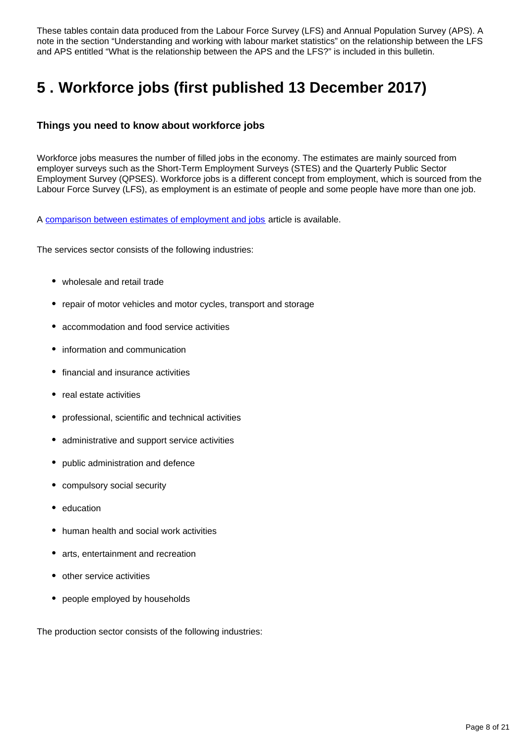These tables contain data produced from the Labour Force Survey (LFS) and Annual Population Survey (APS). A note in the section "Understanding and working with labour market statistics" on the relationship between the LFS and APS entitled "What is the relationship between the APS and the LFS?" is included in this bulletin.

## <span id="page-7-0"></span>**5 . Workforce jobs (first published 13 December 2017)**

#### **Things you need to know about workforce jobs**

Workforce jobs measures the number of filled jobs in the economy. The estimates are mainly sourced from employer surveys such as the Short-Term Employment Surveys (STES) and the Quarterly Public Sector Employment Survey (QPSES). Workforce jobs is a different concept from employment, which is sourced from the Labour Force Survey (LFS), as employment is an estimate of people and some people have more than one job.

A [comparison between estimates of employment and jobs](https://www.ons.gov.uk/employmentandlabourmarket/peopleinwork/employmentandemployeetypes/articles/reconciliationofestimatesofjobs/latest) article is available.

The services sector consists of the following industries:

- wholesale and retail trade
- repair of motor vehicles and motor cycles, transport and storage
- accommodation and food service activities
- information and communication
- financial and insurance activities
- real estate activities
- professional, scientific and technical activities
- administrative and support service activities
- public administration and defence
- compulsory social security
- education
- human health and social work activities
- arts, entertainment and recreation
- other service activities
- people employed by households

The production sector consists of the following industries: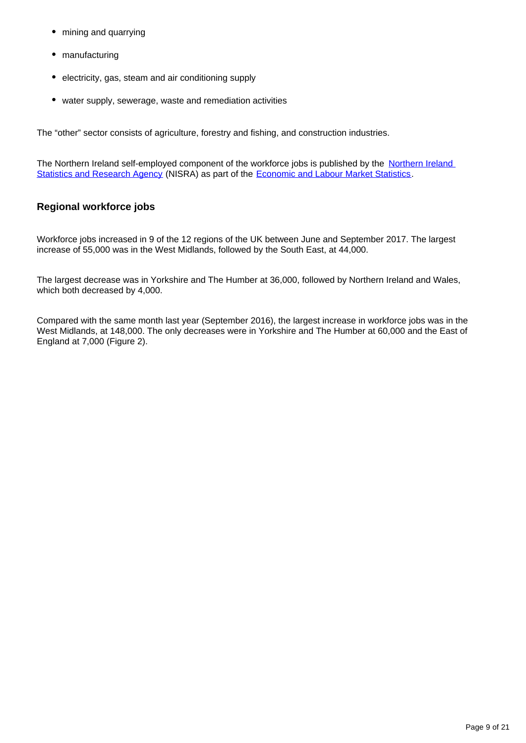- mining and quarrying
- manufacturing
- electricity, gas, steam and air conditioning supply
- water supply, sewerage, waste and remediation activities

The "other" sector consists of agriculture, forestry and fishing, and construction industries.

The [Northern Ireland](https://www.gov.uk/government/organisations/northern-ireland-statistics-and-research-agency) self-employed component of the workforce jobs is published by the Northern Ireland [Statistics and Research Agency](https://www.gov.uk/government/organisations/northern-ireland-statistics-and-research-agency) (NISRA) as part of the [Economic and Labour Market Statistics.](https://www.nisra.gov.uk/statistics/labour-market-and-social-welfare/labour-force-survey#toc-1)

#### **Regional workforce jobs**

Workforce jobs increased in 9 of the 12 regions of the UK between June and September 2017. The largest increase of 55,000 was in the West Midlands, followed by the South East, at 44,000.

The largest decrease was in Yorkshire and The Humber at 36,000, followed by Northern Ireland and Wales, which both decreased by 4,000.

Compared with the same month last year (September 2016), the largest increase in workforce jobs was in the West Midlands, at 148,000. The only decreases were in Yorkshire and The Humber at 60,000 and the East of England at 7,000 (Figure 2).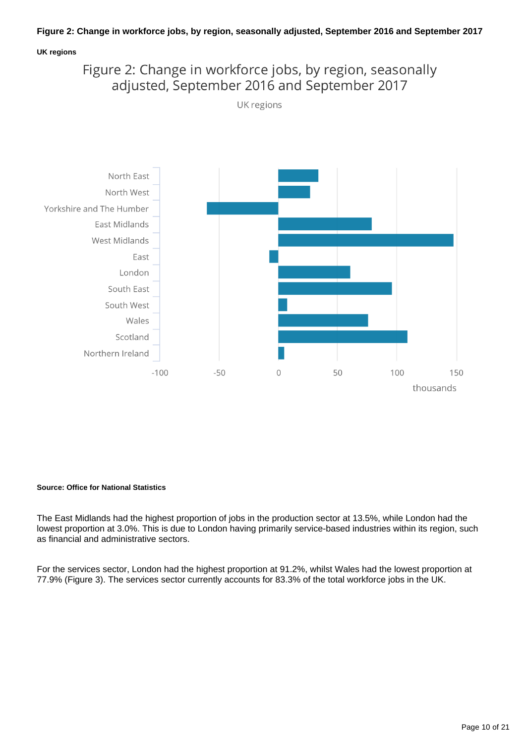#### **Figure 2: Change in workforce jobs, by region, seasonally adjusted, September 2016 and September 2017**

#### **UK regions**

### Figure 2: Change in workforce jobs, by region, seasonally adjusted, September 2016 and September 2017

UK regions



#### **Source: Office for National Statistics**

The East Midlands had the highest proportion of jobs in the production sector at 13.5%, while London had the lowest proportion at 3.0%. This is due to London having primarily service-based industries within its region, such as financial and administrative sectors.

For the services sector, London had the highest proportion at 91.2%, whilst Wales had the lowest proportion at 77.9% (Figure 3). The services sector currently accounts for 83.3% of the total workforce jobs in the UK.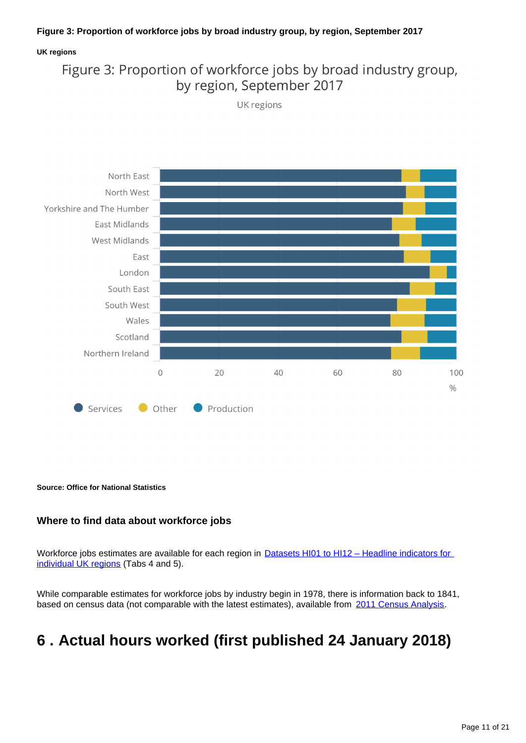#### **Figure 3: Proportion of workforce jobs by broad industry group, by region, September 2017**

#### **UK regions**

### Figure 3: Proportion of workforce jobs by broad industry group, by region, September 2017

UK regions



**Source: Office for National Statistics**

#### **Where to find data about workforce jobs**

Workforce jobs estimates are available for each region in **Datasets HI01 to HI12 – Headline indicators for** [individual UK regions](http://www.ons.gov.uk/employmentandlabourmarket/peopleinwork/employmentandemployeetypes/bulletins/regionallabourmarket/february2018/relateddata/) (Tabs 4 and 5).

While comparable estimates for workforce jobs by industry begin in 1978, there is information back to 1841, based on census data (not comparable with the latest estimates), available from [2011 Census Analysis](http://www.ons.gov.uk/ons/rel/census/2011-census-analysis/170-years-of-industry/index.html).

### <span id="page-10-0"></span>**6 . Actual hours worked (first published 24 January 2018)**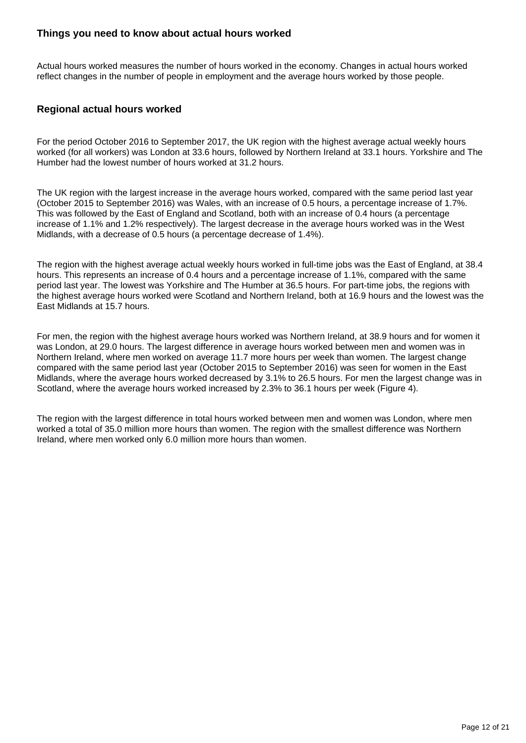#### **Things you need to know about actual hours worked**

Actual hours worked measures the number of hours worked in the economy. Changes in actual hours worked reflect changes in the number of people in employment and the average hours worked by those people.

#### **Regional actual hours worked**

For the period October 2016 to September 2017, the UK region with the highest average actual weekly hours worked (for all workers) was London at 33.6 hours, followed by Northern Ireland at 33.1 hours. Yorkshire and The Humber had the lowest number of hours worked at 31.2 hours.

The UK region with the largest increase in the average hours worked, compared with the same period last year (October 2015 to September 2016) was Wales, with an increase of 0.5 hours, a percentage increase of 1.7%. This was followed by the East of England and Scotland, both with an increase of 0.4 hours (a percentage increase of 1.1% and 1.2% respectively). The largest decrease in the average hours worked was in the West Midlands, with a decrease of 0.5 hours (a percentage decrease of 1.4%).

The region with the highest average actual weekly hours worked in full-time jobs was the East of England, at 38.4 hours. This represents an increase of 0.4 hours and a percentage increase of 1.1%, compared with the same period last year. The lowest was Yorkshire and The Humber at 36.5 hours. For part-time jobs, the regions with the highest average hours worked were Scotland and Northern Ireland, both at 16.9 hours and the lowest was the East Midlands at 15.7 hours.

For men, the region with the highest average hours worked was Northern Ireland, at 38.9 hours and for women it was London, at 29.0 hours. The largest difference in average hours worked between men and women was in Northern Ireland, where men worked on average 11.7 more hours per week than women. The largest change compared with the same period last year (October 2015 to September 2016) was seen for women in the East Midlands, where the average hours worked decreased by 3.1% to 26.5 hours. For men the largest change was in Scotland, where the average hours worked increased by 2.3% to 36.1 hours per week (Figure 4).

The region with the largest difference in total hours worked between men and women was London, where men worked a total of 35.0 million more hours than women. The region with the smallest difference was Northern Ireland, where men worked only 6.0 million more hours than women.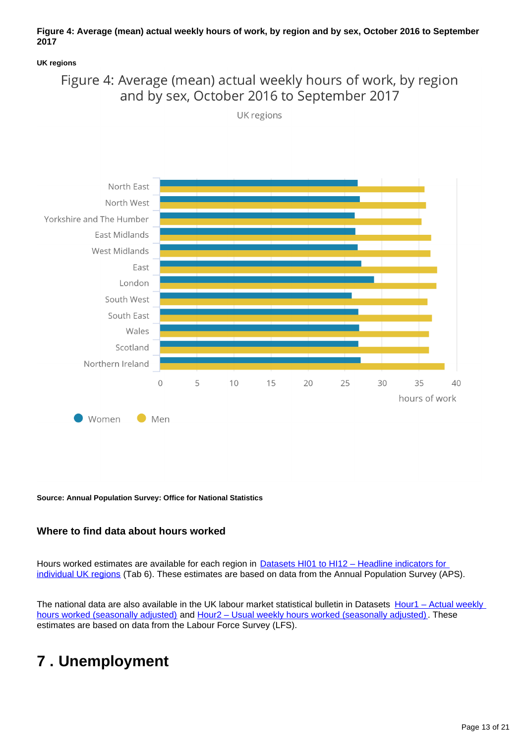#### **Figure 4: Average (mean) actual weekly hours of work, by region and by sex, October 2016 to September 2017**

#### **UK regions**

### Figure 4: Average (mean) actual weekly hours of work, by region and by sex, October 2016 to September 2017



UK regions

#### **Source: Annual Population Survey: Office for National Statistics**

#### **Where to find data about hours worked**

Hours worked estimates are available for each region in **Datasets HI01 to HI12 - Headline indicators for** [individual UK regions](http://www.ons.gov.uk/employmentandlabourmarket/peopleinwork/employmentandemployeetypes/bulletins/regionallabourmarket/february2018/relateddata/) (Tab 6). These estimates are based on data from the Annual Population Survey (APS).

The national data are also available in the UK labour market statistical bulletin in Datasets Hour1 – Actual weekly [hours worked \(seasonally adjusted\)](http://www.ons.gov.uk/employmentandlabourmarket/peopleinwork/earningsandworkinghours/datasets/actualweeklyhoursworkedseasonallyadjustedhour01sa) and [Hour2 – Usual weekly hours worked \(seasonally adjusted\)](http://www.ons.gov.uk/employmentandlabourmarket/peopleinwork/earningsandworkinghours/datasets/usualweeklyhoursworkedseasonallyadjustedhour02sa). These estimates are based on data from the Labour Force Survey (LFS).

### <span id="page-12-0"></span>**7 . Unemployment**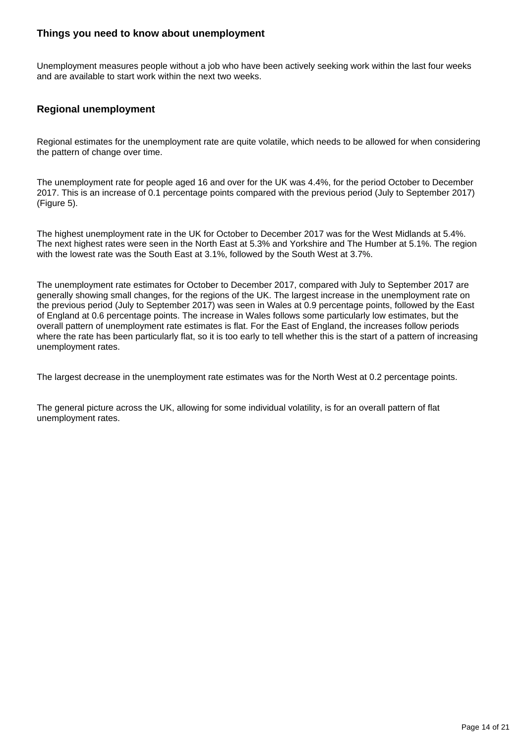#### **Things you need to know about unemployment**

Unemployment measures people without a job who have been actively seeking work within the last four weeks and are available to start work within the next two weeks.

#### **Regional unemployment**

Regional estimates for the unemployment rate are quite volatile, which needs to be allowed for when considering the pattern of change over time.

The unemployment rate for people aged 16 and over for the UK was 4.4%, for the period October to December 2017. This is an increase of 0.1 percentage points compared with the previous period (July to September 2017) (Figure 5).

The highest unemployment rate in the UK for October to December 2017 was for the West Midlands at 5.4%. The next highest rates were seen in the North East at 5.3% and Yorkshire and The Humber at 5.1%. The region with the lowest rate was the South East at 3.1%, followed by the South West at 3.7%.

The unemployment rate estimates for October to December 2017, compared with July to September 2017 are generally showing small changes, for the regions of the UK. The largest increase in the unemployment rate on the previous period (July to September 2017) was seen in Wales at 0.9 percentage points, followed by the East of England at 0.6 percentage points. The increase in Wales follows some particularly low estimates, but the overall pattern of unemployment rate estimates is flat. For the East of England, the increases follow periods where the rate has been particularly flat, so it is too early to tell whether this is the start of a pattern of increasing unemployment rates.

The largest decrease in the unemployment rate estimates was for the North West at 0.2 percentage points.

The general picture across the UK, allowing for some individual volatility, is for an overall pattern of flat unemployment rates.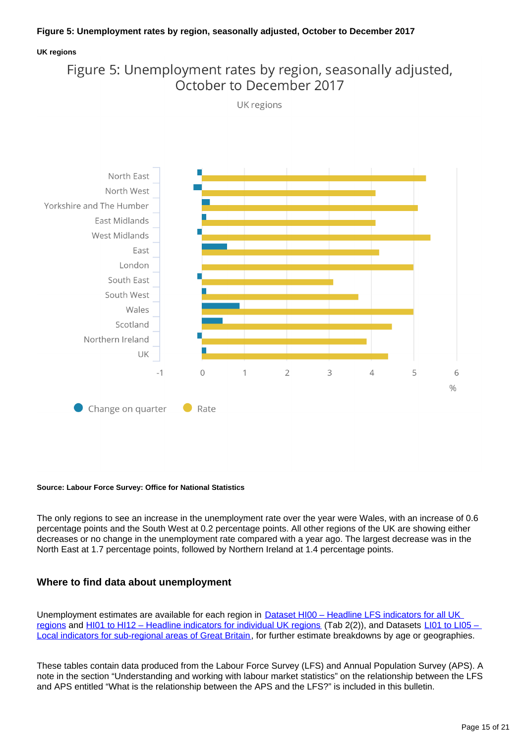#### **Figure 5: Unemployment rates by region, seasonally adjusted, October to December 2017**

#### **UK regions**

### Figure 5: Unemployment rates by region, seasonally adjusted, October to December 2017



**Source: Labour Force Survey: Office for National Statistics**

The only regions to see an increase in the unemployment rate over the year were Wales, with an increase of 0.6 percentage points and the South West at 0.2 percentage points. All other regions of the UK are showing either decreases or no change in the unemployment rate compared with a year ago. The largest decrease was in the North East at 1.7 percentage points, followed by Northern Ireland at 1.4 percentage points.

#### **Where to find data about unemployment**

Unemployment estimates are available for each region in **Dataset HI00 – Headline LFS indicators for all UK** [regions](http://www.ons.gov.uk/employmentandlabourmarket/peopleinwork/employmentandemployeetypes/datasets/headlinelabourforcesurveyindicatorsforallregionshi00) and [HI01 to HI12 – Headline indicators for individual UK regions](http://www.ons.gov.uk/employmentandlabourmarket/peopleinwork/employmentandemployeetypes/bulletins/regionallabourmarket/february2018/relateddata/) (Tab 2(2)), and Datasets [LI01 to LI05 –](http://www.ons.gov.uk/employmentandlabourmarket/peopleinwork/employmentandemployeetypes/bulletins/regionallabourmarket/february2018/relateddata/)  [Local indicators for sub-regional areas of Great Britain](http://www.ons.gov.uk/employmentandlabourmarket/peopleinwork/employmentandemployeetypes/bulletins/regionallabourmarket/february2018/relateddata/), for further estimate breakdowns by age or geographies.

These tables contain data produced from the Labour Force Survey (LFS) and Annual Population Survey (APS). A note in the section "Understanding and working with labour market statistics" on the relationship between the LFS and APS entitled "What is the relationship between the APS and the LFS?" is included in this bulletin.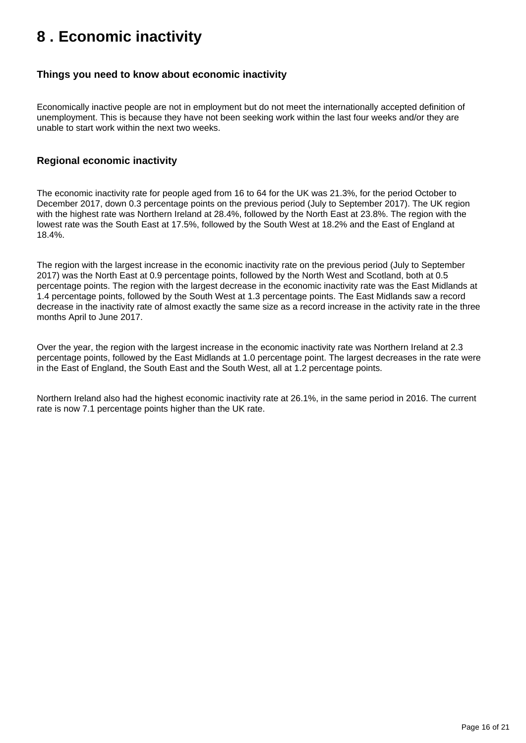## <span id="page-15-0"></span>**8 . Economic inactivity**

#### **Things you need to know about economic inactivity**

Economically inactive people are not in employment but do not meet the internationally accepted definition of unemployment. This is because they have not been seeking work within the last four weeks and/or they are unable to start work within the next two weeks.

#### **Regional economic inactivity**

The economic inactivity rate for people aged from 16 to 64 for the UK was 21.3%, for the period October to December 2017, down 0.3 percentage points on the previous period (July to September 2017). The UK region with the highest rate was Northern Ireland at 28.4%, followed by the North East at 23.8%. The region with the lowest rate was the South East at 17.5%, followed by the South West at 18.2% and the East of England at 18.4%.

The region with the largest increase in the economic inactivity rate on the previous period (July to September 2017) was the North East at 0.9 percentage points, followed by the North West and Scotland, both at 0.5 percentage points. The region with the largest decrease in the economic inactivity rate was the East Midlands at 1.4 percentage points, followed by the South West at 1.3 percentage points. The East Midlands saw a record decrease in the inactivity rate of almost exactly the same size as a record increase in the activity rate in the three months April to June 2017.

Over the year, the region with the largest increase in the economic inactivity rate was Northern Ireland at 2.3 percentage points, followed by the East Midlands at 1.0 percentage point. The largest decreases in the rate were in the East of England, the South East and the South West, all at 1.2 percentage points.

Northern Ireland also had the highest economic inactivity rate at 26.1%, in the same period in 2016. The current rate is now 7.1 percentage points higher than the UK rate.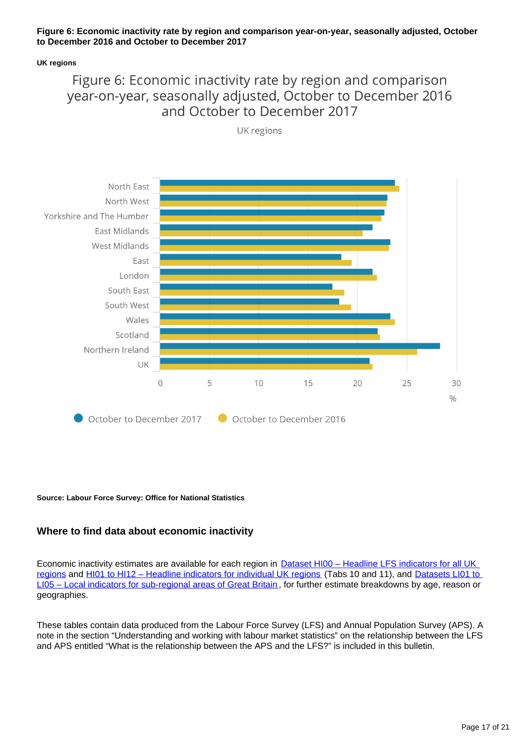#### **Figure 6: Economic inactivity rate by region and comparison year-on-year, seasonally adjusted, October to December 2016 and October to December 2017**

#### **UK regions**

### Figure 6: Economic inactivity rate by region and comparison year-on-year, seasonally adjusted, October to December 2016 and October to December 2017

UK regions



**Source: Labour Force Survey: Office for National Statistics**

#### **Where to find data about economic inactivity**

Economic inactivity estimates are available for each region in **Dataset HI00 - Headline LFS indicators for all UK** [regions](http://www.ons.gov.uk/employmentandlabourmarket/peopleinwork/employmentandemployeetypes/datasets/headlinelabourforcesurveyindicatorsforallregionshi00) and [HI01 to HI12 – Headline indicators for individual UK regions](http://www.ons.gov.uk/employmentandlabourmarket/peopleinwork/employmentandemployeetypes/bulletins/regionallabourmarket/february2018/relateddata/) (Tabs 10 and 11), and Datasets LI01 to [LI05 – Local indicators for sub-regional areas of Great Britain](http://www.ons.gov.uk/employmentandlabourmarket/peopleinwork/employmentandemployeetypes/bulletins/regionallabourmarket/february2018/relateddata/) , for further estimate breakdowns by age, reason or geographies.

These tables contain data produced from the Labour Force Survey (LFS) and Annual Population Survey (APS). A note in the section "Understanding and working with labour market statistics" on the relationship between the LFS and APS entitled "What is the relationship between the APS and the LFS?" is included in this bulletin.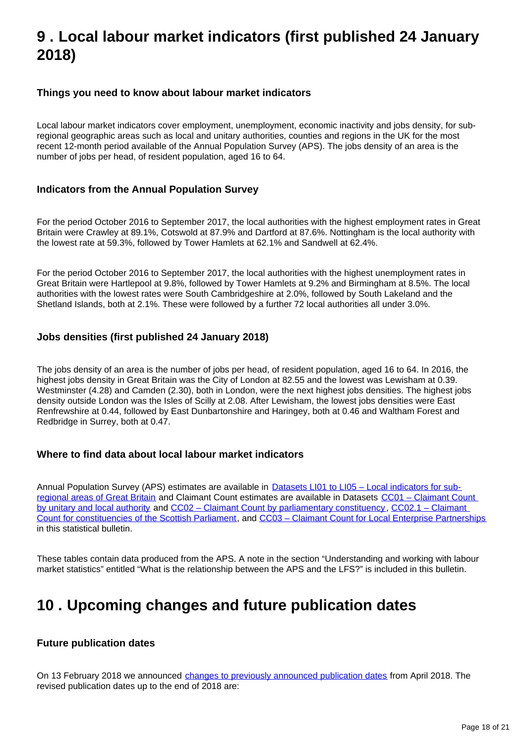## <span id="page-17-0"></span>**9 . Local labour market indicators (first published 24 January 2018)**

#### **Things you need to know about labour market indicators**

Local labour market indicators cover employment, unemployment, economic inactivity and jobs density, for subregional geographic areas such as local and unitary authorities, counties and regions in the UK for the most recent 12-month period available of the Annual Population Survey (APS). The jobs density of an area is the number of jobs per head, of resident population, aged 16 to 64.

#### **Indicators from the Annual Population Survey**

For the period October 2016 to September 2017, the local authorities with the highest employment rates in Great Britain were Crawley at 89.1%, Cotswold at 87.9% and Dartford at 87.6%. Nottingham is the local authority with the lowest rate at 59.3%, followed by Tower Hamlets at 62.1% and Sandwell at 62.4%.

For the period October 2016 to September 2017, the local authorities with the highest unemployment rates in Great Britain were Hartlepool at 9.8%, followed by Tower Hamlets at 9.2% and Birmingham at 8.5%. The local authorities with the lowest rates were South Cambridgeshire at 2.0%, followed by South Lakeland and the Shetland Islands, both at 2.1%. These were followed by a further 72 local authorities all under 3.0%.

#### **Jobs densities (first published 24 January 2018)**

The jobs density of an area is the number of jobs per head, of resident population, aged 16 to 64. In 2016, the highest jobs density in Great Britain was the City of London at 82.55 and the lowest was Lewisham at 0.39. Westminster (4.28) and Camden (2.30), both in London, were the next highest jobs densities. The highest jobs density outside London was the Isles of Scilly at 2.08. After Lewisham, the lowest jobs densities were East Renfrewshire at 0.44, followed by East Dunbartonshire and Haringey, both at 0.46 and Waltham Forest and Redbridge in Surrey, both at 0.47.

#### **Where to find data about local labour market indicators**

Annual Population Survey (APS) estimates are available in **Datasets LI01 to LI05 - Local indicators for sub**[regional areas of Great Britain](http://www.ons.gov.uk/employmentandlabourmarket/peopleinwork/employmentandemployeetypes/bulletins/regionallabourmarket/february2018/relateddata/) and Claimant Count estimates are available in Datasets [CC01 – Claimant Count](http://www.ons.gov.uk/employmentandlabourmarket/peoplenotinwork/unemployment/datasets/claimantcountbyunitaryandlocalauthorityexperimental)  [by unitary and local authority](http://www.ons.gov.uk/employmentandlabourmarket/peoplenotinwork/unemployment/datasets/claimantcountbyunitaryandlocalauthorityexperimental) and [CC02 – Claimant Count by parliamentary constituency](http://www.ons.gov.uk/employmentandlabourmarket/peoplenotinwork/unemployment/datasets/claimantcountbyparliamentaryconstituencyexperimental) , [CC02.1 – Claimant](https://www.ons.gov.uk/employmentandlabourmarket/peopleinwork/employmentandemployeetypes/datasets/cc021regionallabourmarketclaimantcountforscottishparliamentaryconstituenciesexperimental)  [Count for constituencies of the Scottish Parliament](https://www.ons.gov.uk/employmentandlabourmarket/peopleinwork/employmentandemployeetypes/datasets/cc021regionallabourmarketclaimantcountforscottishparliamentaryconstituenciesexperimental), and [CC03 – Claimant Count for Local Enterprise Partnerships](https://www.ons.gov.uk/employmentandlabourmarket/peopleinwork/employmentandemployeetypes/datasets/cc03regionallabourmarketclaimantcountforlocalenterprisepartnershipsexperimental) in this statistical bulletin.

These tables contain data produced from the APS. A note in the section "Understanding and working with labour market statistics" entitled "What is the relationship between the APS and the LFS?" is included in this bulletin.

### <span id="page-17-1"></span>**10 . Upcoming changes and future publication dates**

#### **Future publication dates**

On 13 February 2018 we announced [changes to previously announced publication dates](https://www.ons.gov.uk/news/statementsandletters/changestoonsreleasetimetable) from April 2018. The revised publication dates up to the end of 2018 are: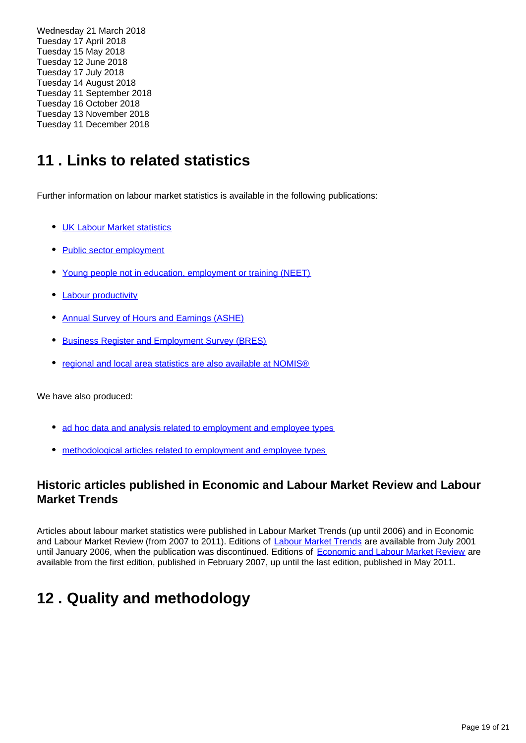Wednesday 21 March 2018 Tuesday 17 April 2018 Tuesday 15 May 2018 Tuesday 12 June 2018 Tuesday 17 July 2018 Tuesday 14 August 2018 Tuesday 11 September 2018 Tuesday 16 October 2018 Tuesday 13 November 2018 Tuesday 11 December 2018

## <span id="page-18-0"></span>**11 . Links to related statistics**

Further information on labour market statistics is available in the following publications:

- **[UK Labour Market statistics](http://www.ons.gov.uk/employmentandlabourmarket/peopleinwork/employmentandemployeetypes/bulletins/uklabourmarket/previousReleases)**
- [Public sector employment](http://www.ons.gov.uk/employmentandlabourmarket/peopleinwork/publicsectorpersonnel/bulletins/publicsectoremployment/previousReleases)
- [Young people not in education, employment or training \(NEET\)](http://www.ons.gov.uk/employmentandlabourmarket/peoplenotinwork/unemployment/bulletins/youngpeoplenotineducationemploymentortrainingneet/previousReleases)
- [Labour productivity](http://www.ons.gov.uk/employmentandlabourmarket/peopleinwork/labourproductivity/bulletins/labourproductivity/previousReleases)
- [Annual Survey of Hours and Earnings \(ASHE\)](http://www.ons.gov.uk/employmentandlabourmarket/peopleinwork/earningsandworkinghours/bulletins/annualsurveyofhoursandearnings/previousReleases)
- **[Business Register and Employment Survey \(BRES\)](http://www.ons.gov.uk/employmentandlabourmarket/peopleinwork/employmentandemployeetypes/bulletins/businessregisterandemploymentsurveybresprovisionalresults/previousReleases)**
- [regional and local area statistics are also available at NOMIS®](http://www.nomisweb.co.uk/)

We have also produced:

- [ad hoc data and analysis related to employment and employee types](https://www.ons.gov.uk/employmentandlabourmarket/peopleinwork/employmentandemployeetypes/publications)
- [methodological articles related to employment and employee types](https://www.ons.gov.uk/employmentandlabourmarket/peopleinwork/employmentandemployeetypes/topicspecificmethodology)

### **Historic articles published in Economic and Labour Market Review and Labour Market Trends**

Articles about labour market statistics were published in Labour Market Trends (up until 2006) and in Economic and Labour Market Review (from 2007 to 2011). Editions of [Labour Market Trends](http://www.ons.gov.uk/ons/rel/lms/labour-market-trends--discontinued-/index.html) are available from July 2001 until January 2006, when the publication was discontinued. Editions of [Economic and Labour Market Review](http://www.ons.gov.uk/ons/rel/elmr/economic-and-labour-market-review/index.html) are available from the first edition, published in February 2007, up until the last edition, published in May 2011.

## <span id="page-18-1"></span>**12 . Quality and methodology**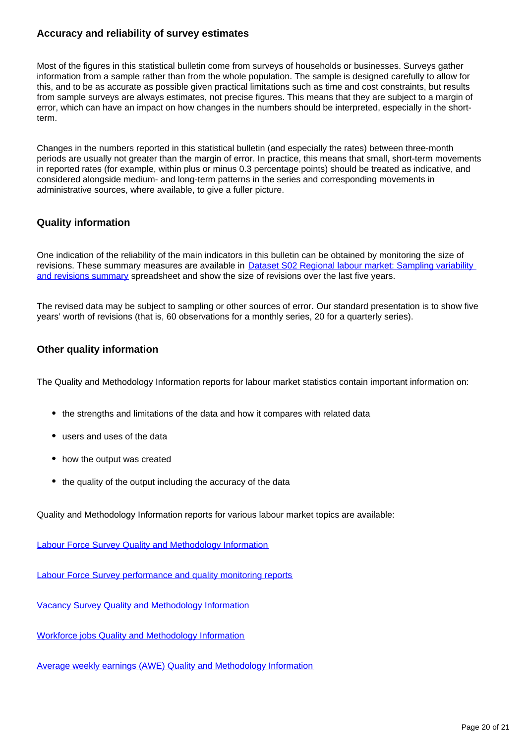#### **Accuracy and reliability of survey estimates**

Most of the figures in this statistical bulletin come from surveys of households or businesses. Surveys gather information from a sample rather than from the whole population. The sample is designed carefully to allow for this, and to be as accurate as possible given practical limitations such as time and cost constraints, but results from sample surveys are always estimates, not precise figures. This means that they are subject to a margin of error, which can have an impact on how changes in the numbers should be interpreted, especially in the shortterm.

Changes in the numbers reported in this statistical bulletin (and especially the rates) between three-month periods are usually not greater than the margin of error. In practice, this means that small, short-term movements in reported rates (for example, within plus or minus 0.3 percentage points) should be treated as indicative, and considered alongside medium- and long-term patterns in the series and corresponding movements in administrative sources, where available, to give a fuller picture.

#### **Quality information**

One indication of the reliability of the main indicators in this bulletin can be obtained by monitoring the size of revisions. These summary measures are available in **Dataset S02 Regional labour market: Sampling variability** [and revisions summary](http://www.ons.gov.uk/employmentandlabourmarket/peopleinwork/employmentandemployeetypes/datasets/samplingvariabilityandrevisionssummaryforregionallabourmarketstatisticss02) spreadsheet and show the size of revisions over the last five years.

The revised data may be subject to sampling or other sources of error. Our standard presentation is to show five years' worth of revisions (that is, 60 observations for a monthly series, 20 for a quarterly series).

#### **Other quality information**

The Quality and Methodology Information reports for labour market statistics contain important information on:

- the strengths and limitations of the data and how it compares with related data
- users and uses of the data
- how the output was created
- the quality of the output including the accuracy of the data

Quality and Methodology Information reports for various labour market topics are available:

[Labour Force Survey Quality and Methodology Information](https://www.ons.gov.uk/employmentandlabourmarket/peopleinwork/employmentandemployeetypes/qmis/labourforcesurveylfsqmi)

[Labour Force Survey performance and quality monitoring reports](https://www.ons.gov.uk/employmentandlabourmarket/peopleinwork/employmentandemployeetypes/methodologies/labourforcesurveyperformanceandqualitymonitoringreports)

[Vacancy Survey Quality and Methodology Information](https://www.ons.gov.uk/employmentandlabourmarket/peopleinwork/employmentandemployeetypes/qmis/vacancysurveyqmi)

[Workforce jobs Quality and Methodology Information](https://www.ons.gov.uk/employmentandlabourmarket/peopleinwork/employmentandemployeetypes/qmis/workforcejobsqmi)

[Average weekly earnings \(AWE\) Quality and Methodology Information](https://www.ons.gov.uk/employmentandlabourmarket/peopleinwork/earningsandworkinghours/methodologies/averageweeklyearningsqmi)